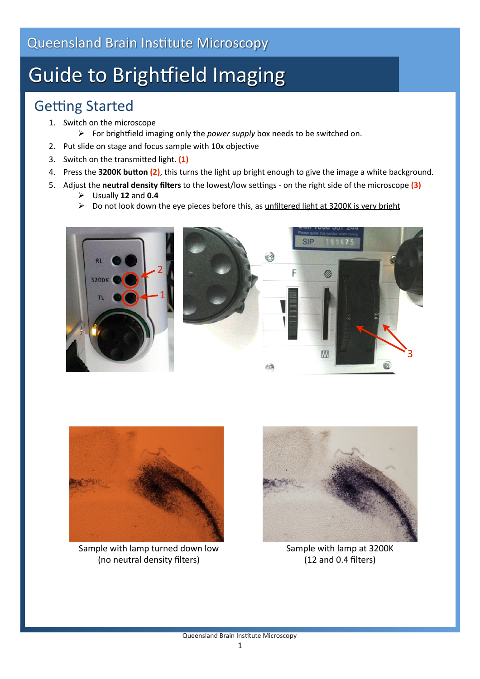# **Guide to Brightfield Imaging**

## **Getting Started**

- 1. Switch on the microscope
	- For brightfield imaging only the *power supply* box needs to be switched on.
- 2. Put slide on stage and focus sample with 10x objective
- 3. Switch on the transmitted light. (1)
- 4. Press the 3200K button (2), this turns the light up bright enough to give the image a white background.
- 5. Adjust the **neutral density filters** to the lowest/low settings on the right side of the microscope (3)
	- Usually **12** and **0.4**
	- $\triangleright$  Do not look down the eye pieces before this, as unfiltered light at 3200K is very bright





Sample with lamp turned down low (no neutral density filters)



Sample with lamp at 3200K (12 and 0.4 filters)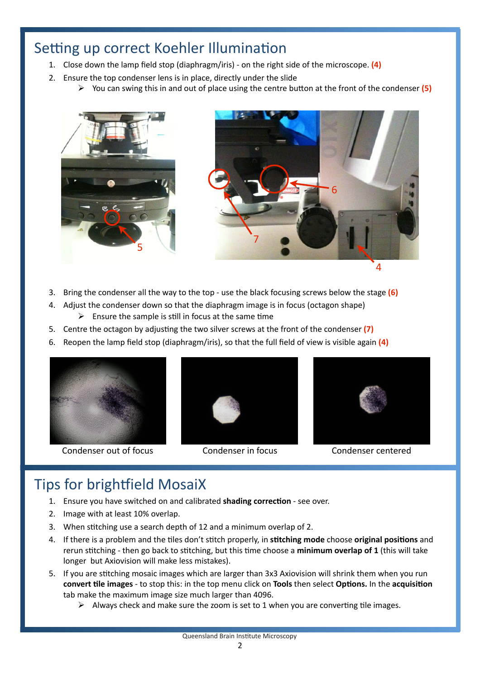### Setting up correct Koehler Illumination

- 1. Close down the lamp field stop (diaphragm/iris) ‐ on the right side of the microscope. **(4)**
- 2. Ensure the top condenser lens is in place, directly under the slide
	- $\triangleright$  You can swing this in and out of place using the centre button at the front of the condenser (5)





- 3. Bring the condenser all the way to the top ‐ use the black focusing screws below the stage **(6)**
- 4. Adjust the condenser down so that the diaphragm image is in focus (octagon shape)
	- $\triangleright$  Ensure the sample is still in focus at the same time
- 5. Centre the octagon by adjusting the two silver screws at the front of the condenser (7)
- 6. Reopen the lamp field stop (diaphragm/iris), so that the full field of view is visible again **(4)**



Condenser out of focus Condenser in focus Condenser centered





### Tips for brightfield MosaiX

- 1. Ensure you have switched on and calibrated shading correction see over.
- 2. Image with at least 10% overlap.
- 3. When stitching use a search depth of 12 and a minimum overlap of 2.
- 4. If there is a problem and the tiles don't stitch properly, in stitching mode choose original positions and rerun stitching - then go back to stitching, but this time choose a minimum overlap of 1 (this will take longer but Axiovision will make less mistakes).
- 5. If you are stitching mosaic images which are larger than 3x3 Axiovision will shrink them when you run **convert tile images** - to stop this: in the top menu click on **Tools** then select **Options.** In the **acquisition** tab make the maximum image size much larger than 4096.
	- $\triangleright$  Always check and make sure the zoom is set to 1 when you are converting tile images.